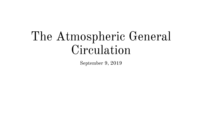# The Atmospheric General Circulation

September 9, 2019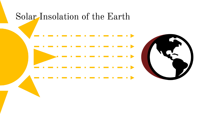#### Solar Insolation of the Earth



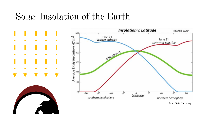### Solar Insolation of the Earth

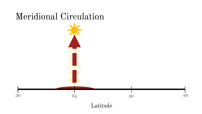## Meridional Circulation

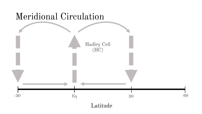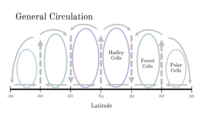#### General Circulation



Latitude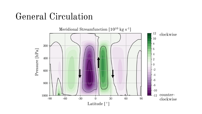#### General Circulation

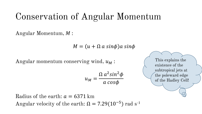# Conservation of Angular Momentum

Angular Momentum, M:

 $M = (u + \Omega a \sin \phi)a \sin \phi$ 

Angular momentum conserving wind,  $u_M$ :

$$
u_M = \frac{\Omega a^2 \sin^2 \phi}{a \cos \phi}
$$

This explains the existence of the subtropical jets at the poleward edge of the Hadley Cell!

Radius of the earth:  $a = 6371$  km Angular velocity of the earth:  $\Omega = 7.29(10^{-5})$  rad s<sup>-1</sup>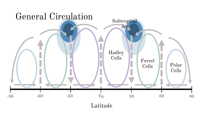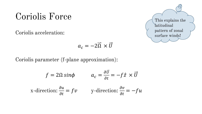#### Coriolis Force

Coriolis acceleration:

$$
a_c = -2\overrightarrow{\Omega} \times \overrightarrow{U}
$$

Coriolis parameter (f-plane approximation):

$$
f = 2\Omega \sin\phi \qquad a_c = \frac{\partial \vec{v}}{\partial t} = -f\hat{z} \times \vec{U}
$$
  
x-direction:  $\frac{\partial u}{\partial t} = fv$  y-direction:  $\frac{\partial v}{\partial t} = -fu$ 

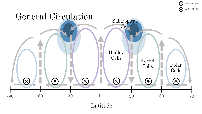

Latitude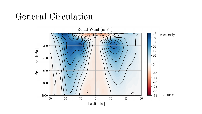#### General Circulation

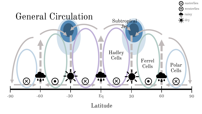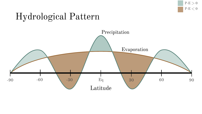